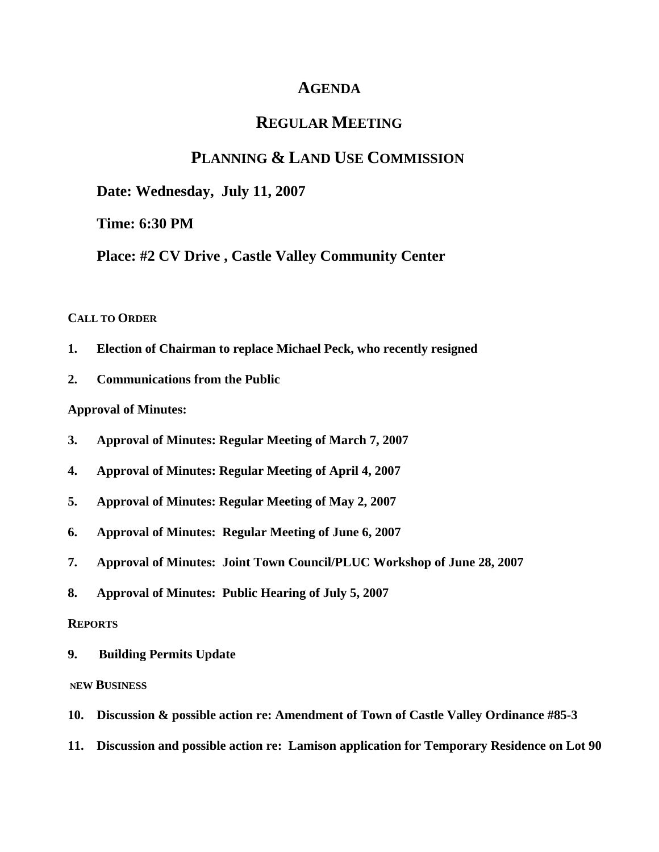# **AGENDA**

# **REGULAR MEETING**

# **PLANNING & LAND USE COMMISSION**

**Date: Wednesday, July 11, 2007**

**Time: 6:30 PM**

**Place: #2 CV Drive , Castle Valley Community Center**

### **CALL TO ORDER**

- **1. Election of Chairman to replace Michael Peck, who recently resigned**
- **2. Communications from the Public**

**Approval of Minutes:** 

- **3. Approval of Minutes: Regular Meeting of March 7, 2007**
- **4. Approval of Minutes: Regular Meeting of April 4, 2007**
- **5. Approval of Minutes: Regular Meeting of May 2, 2007**
- **6. Approval of Minutes: Regular Meeting of June 6, 2007**
- **7. Approval of Minutes: Joint Town Council/PLUC Workshop of June 28, 2007**
- **8. Approval of Minutes: Public Hearing of July 5, 2007**

### **REPORTS**

**9. Building Permits Update**

#### **NEW BUSINESS**

- **10. Discussion & possible action re: Amendment of Town of Castle Valley Ordinance #85-3**
- **11. Discussion and possible action re: Lamison application for Temporary Residence on Lot 90**